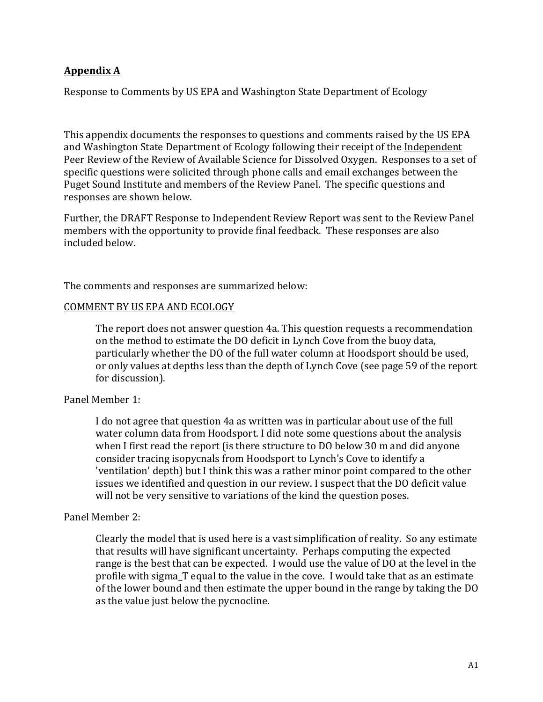## **Appendix A**

Response to Comments by US EPA and Washington State Department of Ecology

This appendix documents the responses to questions and comments raised by the US EPA and Washington State Department of Ecology following their receipt of the Independent Peer Review of the Review of Available Science for Dissolved Oxygen. Responses to a set of specific questions were solicited through phone calls and email exchanges between the Puget Sound Institute and members of the Review Panel. The specific questions and responses are shown below.

Further, the DRAFT Response to Independent Review Report was sent to the Review Panel members with the opportunity to provide final feedback. These responses are also included below.

The comments and responses are summarized below:

#### COMMENT BY US EPA AND ECOLOGY

The report does not answer question 4a. This question requests a recommendation on the method to estimate the DO deficit in Lynch Cove from the buoy data, particularly whether the DO of the full water column at Hoodsport should be used, or only values at depths less than the depth of Lynch Cove (see page 59 of the report for discussion).

## Panel Member 1:

I do not agree that question 4a as written was in particular about use of the full water column data from Hoodsport. I did note some questions about the analysis when I first read the report (is there structure to DO below 30 m and did anyone consider tracing isopycnals from Hoodsport to Lynch's Cove to identify a 'ventilation' depth) but I think this was a rather minor point compared to the other issues we identified and question in our review. I suspect that the DO deficit value will not be very sensitive to variations of the kind the question poses.

## Panel Member 2:

Clearly the model that is used here is a vast simplification of reality. So any estimate that results will have significant uncertainty. Perhaps computing the expected range is the best that can be expected. I would use the value of DO at the level in the profile with sigma T equal to the value in the cove. I would take that as an estimate of the lower bound and then estimate the upper bound in the range by taking the DO as the value just below the pycnocline.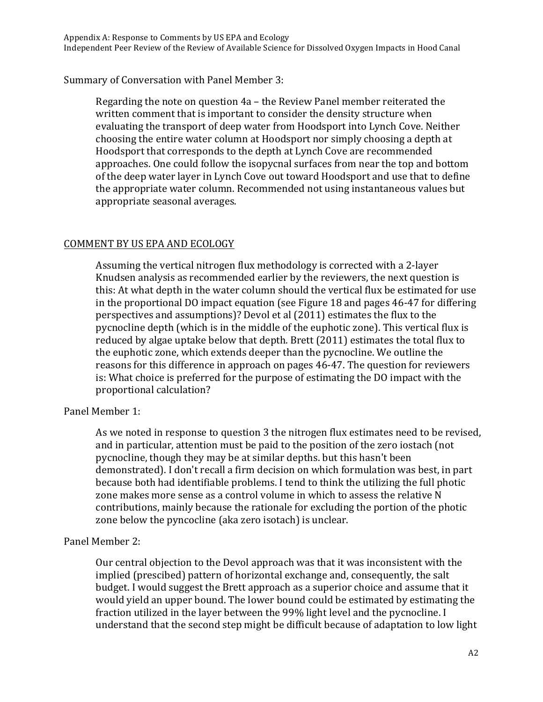# Summary of Conversation with Panel Member 3:

Regarding the note on question  $4a$  – the Review Panel member reiterated the written comment that is important to consider the density structure when evaluating the transport of deep water from Hoodsport into Lynch Cove. Neither choosing the entire water column at Hoodsport nor simply choosing a depth at Hoodsport that corresponds to the depth at Lynch Cove are recommended approaches. One could follow the isopycnal surfaces from near the top and bottom of the deep water layer in Lynch Cove out toward Hoodsport and use that to define the appropriate water column. Recommended not using instantaneous values but appropriate seasonal averages.

# COMMENT BY US EPA AND ECOLOGY

Assuming the vertical nitrogen flux methodology is corrected with a 2-layer Knudsen analysis as recommended earlier by the reviewers, the next question is this: At what depth in the water column should the vertical flux be estimated for use in the proportional DO impact equation (see Figure 18 and pages  $46-47$  for differing perspectives and assumptions)? Devol et al (2011) estimates the flux to the pycnocline depth (which is in the middle of the euphotic zone). This vertical flux is reduced by algae uptake below that depth. Brett (2011) estimates the total flux to the euphotic zone, which extends deeper than the pycnocline. We outline the reasons for this difference in approach on pages 46-47. The question for reviewers is: What choice is preferred for the purpose of estimating the DO impact with the proportional calculation?

## Panel Member 1:

As we noted in response to question 3 the nitrogen flux estimates need to be revised, and in particular, attention must be paid to the position of the zero iostach (not pycnocline, though they may be at similar depths. but this hasn't been demonstrated). I don't recall a firm decision on which formulation was best, in part because both had identifiable problems. I tend to think the utilizing the full photic zone makes more sense as a control volume in which to assess the relative N contributions, mainly because the rationale for excluding the portion of the photic zone below the pyncocline (aka zero isotach) is unclear.

## Panel Member 2:

Our central objection to the Devol approach was that it was inconsistent with the implied (prescibed) pattern of horizontal exchange and, consequently, the salt budget. I would suggest the Brett approach as a superior choice and assume that it would yield an upper bound. The lower bound could be estimated by estimating the fraction utilized in the layer between the 99% light level and the pycnocline. I understand that the second step might be difficult because of adaptation to low light